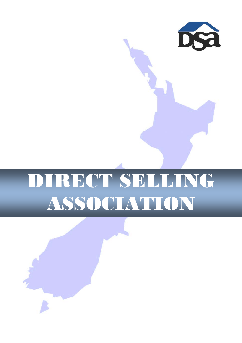

# DIRECT SELLING ASSOCIATION

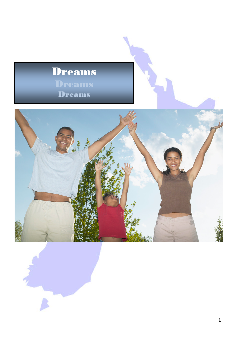

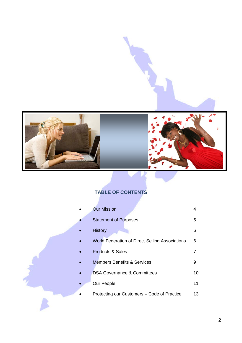

### **TABLE OF CONTENTS**

| <b>Our Mission</b>                              | 4  |
|-------------------------------------------------|----|
| <b>Statement of Purposes</b>                    | 5  |
| History                                         | 6  |
| World Federation of Direct Selling Associations | 6  |
| <b>Products &amp; Sales</b>                     |    |
| <b>Members Benefits &amp; Services</b>          | 9  |
| <b>DSA Governance &amp; Committees</b>          | 10 |
| Our People                                      | 11 |
| Protecting our Customers - Code of Practice     | 13 |
|                                                 |    |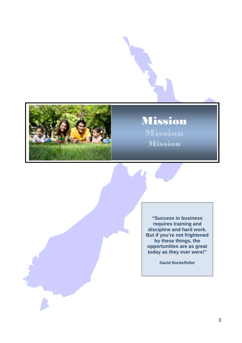

# Mission Mission Mission

**"Success in business requires training and discipline and hard work. But if you're not frightened by these things, the opportunities are as great today as they ever were!"**

**David Rockeffeller**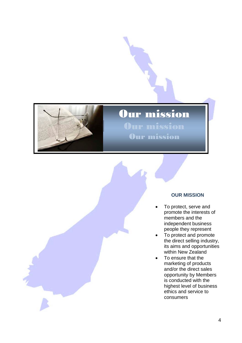

# Our mission Our mission

Our mission



### **OUR MISSION**

- To protect, serve and promote the interests of members and the independent business people they represent
- To protect and promote the direct selling industry, its aims and opportunities within New Zealand
- To ensure that the marketing of products and/or the direct sales opportunity by Members is conducted with the highest level of business ethics and service to consumers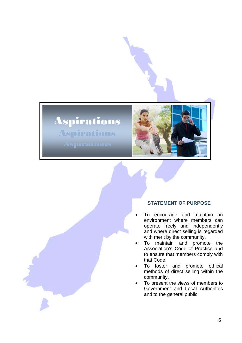# Aspirations Aspirations

Aspirations



### **STATEMENT OF PURPOSE**

- To encourage and maintain an environment where members can operate freely and independently and where direct selling is regarded with merit by the community.
- To maintain and promote the Association's Code of Practice and to ensure that members comply with that Code.
- To foster and promote ethical methods of direct selling within the community.
- To present the views of members to Government and Local Authorities and to the general public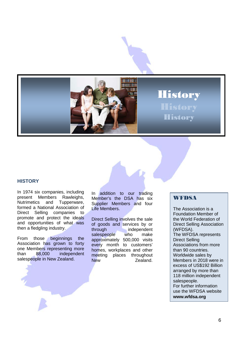

History History History

#### **HISTORY**

In 1974 six companies, including present Members Rawleighs, Nutrimetics and Tupperware, formed a National Association of Direct Selling companies to promote and protect the ideals and opportunities of what was then a fledgling industry.

From those beginnings the Association has grown to forty one Members representing more<br>than 88.000 independent than 88,000 independent salespeople in New Zealand.

In addition to our trading Member's the DSA has six Supplier Members and four Life Members.

Direct Selling involves the sale of goods and services by or<br>through independent through independent salespeople approximately 500,000 visits every month to customers' homes, workplaces and other meeting places throughout<br>New Zealand. Zealand.

#### **WFDSA**

The Association is a Foundation Member of the World Federation of Direct Selling Association (WFDSA). The WFDSA represents Direct Selling Associations from more than 90 countries. Worldwide sales by Members in 2018 were in excess of US\$192 Billion arranged by more than 118 million independent salespeople. For further information use the WFDSA website **www.wfdsa.org**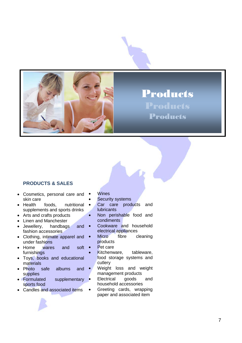

### Products Products Products

### **PRODUCTS & SALES**

- Cosmetics, personal care and skin care
- Health foods, nutritional supplements and sports drinks
- Arts and crafts products
- Linen and Manchester<br>• Jewellery. handbags
- Jewellery, handbags and fashion accessories
- Clothing, intimate apparel and under fashions
- Home wares and soft furnishings
- Toys, books and educational materials
- Photo safe albums and supplies
- Formulated supplementary sports food
- Candles and associated items



- Security systems
- Car care products and **lubricants**
- Non perishable food and condiments
- Cookware and household electrical appliances<br>Micro fibre c
- cleaning products
- Pet care
- Kitchenware, tableware, food storage systems and cutlery
- Weight loss and weight management products
- Electrical goods and household accessories
- Greeting cards, wrapping paper and associated item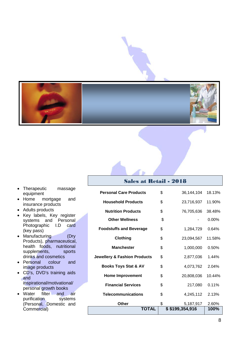

- Therapeutic massage equipment<br>• Home m
- mortgage and insurance products
- Adults products
- Key labels, Key register systems and Personal<br>Photographic I.D card Photographic I.D (key pass)
- Manufacturing (Dry Products), pharmaceutical, health foods, nutritional supplements, sports drinks and cosmetics
- Personal colour and image products
- CD's, DVD's training aids and inspirational/motivational/
- personal growth books<br>• Water filter and filter and air<br>on systems purification (Personal, Domestic and Commercial)

| <b>Personal Care Products</b>           | \$<br>36,144,104 | 18.13%   |
|-----------------------------------------|------------------|----------|
| <b>Household Products</b>               | \$<br>23,716,937 | 11.90%   |
| <b>Nutrition Products</b>               | \$<br>76,705,636 | 38.48%   |
| <b>Other Wellness</b>                   | \$               | $0.00\%$ |
| <b>Foodstuffs and Beverage</b>          | \$<br>1,284,729  | 0.64%    |
| <b>Clothing</b>                         | \$<br>23,094,567 | 11.58%   |
| <b>Manchester</b>                       | \$<br>1,000,000  | 0.50%    |
| <b>Jewellery &amp; Fashion Products</b> | \$<br>2,877,036  | 1.44%    |
| <b>Books Toys Stat &amp; AV</b>         | \$<br>4,073,762  | 2.04%    |
| <b>Home Improvement</b>                 | \$<br>20,808,036 | 10.44%   |
| <b>Financial Services</b>               | \$<br>217,080    | 0.11%    |
| <b>Telecommunications</b>               | \$<br>4,245,112  | 2.13%    |
| Other                                   | \$<br>5,187,917  | 2.60%    |
| <b>TOTAL</b>                            | \$\$199,354,916  | 100%     |

Sales at Retail - 2018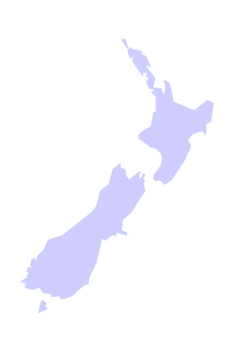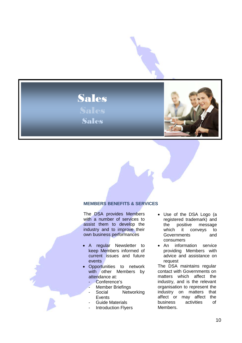# Sales Sales Sales



#### **MEMBERS BENEFITS & SERVICES**

The DSA provides Members with a number of services to assist them to develop the industry and to improve their own business performances

- A regular Newsletter to keep Members informed of current issues and future events
- Opportunities to network with other Members by attendance at:
	- Conference's
	- Member Briefings<br>Social Netw
	- **Networking Events**
	- Guide Materials
	- Introduction Flyers
- Use of the DSA Logo (a registered trademark) and the positive message<br>which it convevs to it conveys to<br>nents and Governments consumers
- An information service providing Members with advice and assistance on request

The DSA maintains regular contact with Governments on matters which affect the industry, and is the relevant organisation to represent the industry on matters that affect or may affect the<br>business activities of business activities of Members.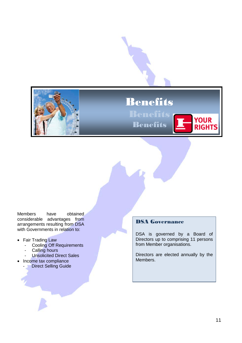

# Benefits

benefi Benefits



Members have obtained considerable advantages from arrangements resulting from DSA with Governments in relation to:

- Fair Trading Law
	- Cooling Off Requirements
	- Calling hours
	- **Unsolicited Direct Sales**
- Income tax compliance
	- Direct Selling Guide

### DSA Governance

DSA is governed by a Board of Directors up to comprising 11 persons from Member organisations.

Directors are elected annually by the Members.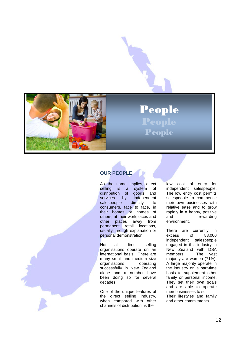

# People People People

### **OUR PEOPLE**

As the name implies, direct selling is a system of distribution of goods and<br>services by independent independent<br>directly to salespeople consumers, face to face, in their homes or homes of others, at their workplaces and other places away from permanent retail locations, usually through explanation or personal demonstration.

Not all direct selling organisations operate on an international basis. There are many small and medium size<br>organisations operating organisations successfully in New Zealand alone and a number have been doing so for several decades.

One of the unique features of the direct selling industry, when compared with other channels of distribution, is the

low cost of entry for independent salespeople. The low entry cost permits salespeople to commence their own businesses with relative ease and to grow rapidly in a happy, positive<br>and rewarding rewarding environment.

There are currently in<br>excess of 88,000 excess of 88,000 independent salespeople engaged in this industry in New Zealand with DSA members. The vast majority are women (71%). A large majority operate in the industry on a part-time basis to supplement other family or personal income. They set their own goals and are able to operate their businesses to suit Their lifestyles and family and other commitments.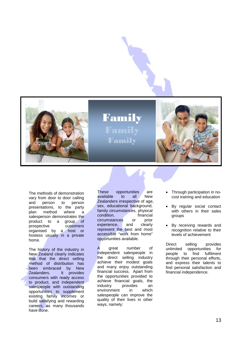

Family am Family



The methods of demonstration vary from door to door calling<br>and person to person person presentations, to the party plan method where a salesperson demonstrates the product to a group of prospective customers organised by a host or hostess usually in a private home.

The history of the industry in New Zealand clearly indicates that that the direct selling method of distribution has been embraced by New<br>Zealanders. It provides It provides consumers with ready access to product, and independent salespeople with outstanding opportunities to supplement existing family incomes or build satisfying and rewarding careers, as many thousands have done.

These opportunities are available to all New Zealanders irrespective of age, sex, educational background, family circumstances, physical condition, financial<br>circumstances or prior circumstances or prior<br>experience, and clearly experience, represent the best and most accessible "work from home" opportunities available.

A great number of independent salespeople in the direct selling industry achieve their modest goals and many enjoy outstanding financial success. Apart from the opportunities provided to achieve financial goals, the industry provides an<br>environment in which environment in salespeople can improve the quality of their lives in other ways, namely:

- Through participation in nocost training and education
- By regular social contact with others in their sales groups
- By receiving rewards and recognition relative to their levels of achievement

Direct selling provides unlimited opportunities for people to find fulfilment through their personal efforts, and express their talents to find personal satisfaction and financial independence.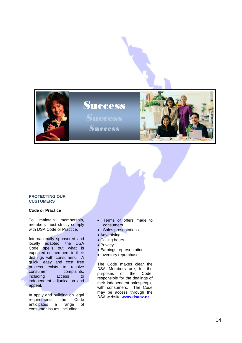

### **Success**

**Success Success** 



#### **PROTECTING OUR CUSTOMERS**

#### **Code or Practice**

To maintain membership, members must strictly comply with DSA Code or Practice.

Internationally sponsored and locally adapted, the DSA Code spells out what is expected or members in their dealings with consumers. A quick, easy and cost free process exists to resolve<br>consumer complaints, complaints,<br>access to including access to independent adjudication and appeal.

In apply and building on legal requirements the Code anticipates a range of consumer issues, including:

- **Terms of offers made to** consumers
- Sales presentations
- Advertising
- Calling hours
- Privacy
- Earnings representation
- Inventory repurchase

The Code makes clear the DSA Members are, for the<br>purposes of the Code, purposes of the responsible for the dealings of their independent salespeople with consumers. The Code may be access through the DSA website **[www.dsanz.nz](http://www.dsanz.nz/)**